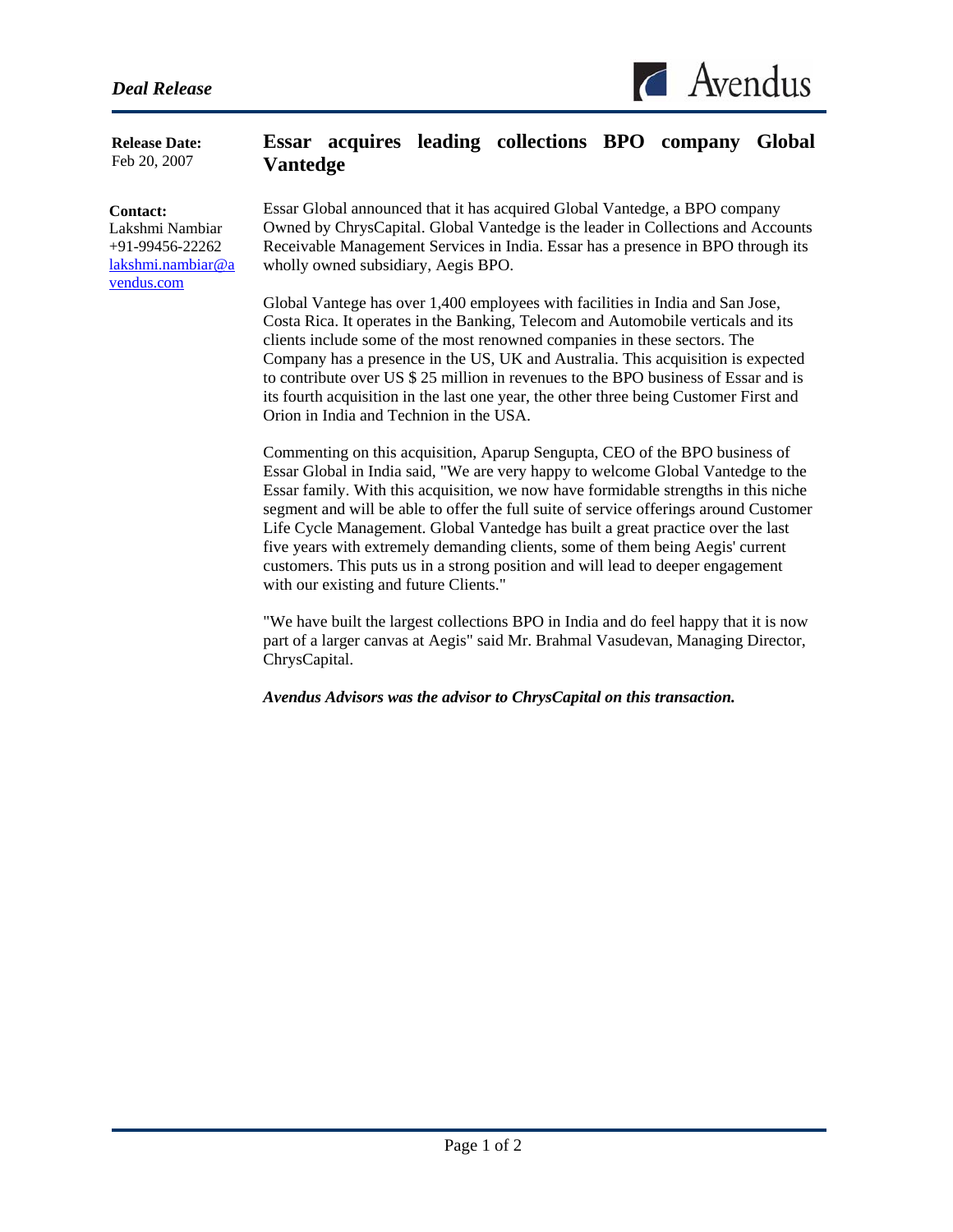

**Release Date:**  Feb 20, 2007

### **Contact:**

l

Lakshmi Nambiar +91-99456-22262 lakshmi.nambiar@a vendus.com

# **Essar acquires leading collections BPO company Global Vantedge**

Essar Global announced that it has acquired Global Vantedge, a BPO company Owned by ChrysCapital. Global Vantedge is the leader in Collections and Accounts Receivable Management Services in India. Essar has a presence in BPO through its wholly owned subsidiary, Aegis BPO.

Global Vantege has over 1,400 employees with facilities in India and San Jose, Costa Rica. It operates in the Banking, Telecom and Automobile verticals and its clients include some of the most renowned companies in these sectors. The Company has a presence in the US, UK and Australia. This acquisition is expected to contribute over US \$ 25 million in revenues to the BPO business of Essar and is its fourth acquisition in the last one year, the other three being Customer First and Orion in India and Technion in the USA.

Commenting on this acquisition, Aparup Sengupta, CEO of the BPO business of Essar Global in India said, "We are very happy to welcome Global Vantedge to the Essar family. With this acquisition, we now have formidable strengths in this niche segment and will be able to offer the full suite of service offerings around Customer Life Cycle Management. Global Vantedge has built a great practice over the last five years with extremely demanding clients, some of them being Aegis' current customers. This puts us in a strong position and will lead to deeper engagement with our existing and future Clients."

"We have built the largest collections BPO in India and do feel happy that it is now part of a larger canvas at Aegis" said Mr. Brahmal Vasudevan, Managing Director, ChrysCapital.

*Avendus Advisors was the advisor to ChrysCapital on this transaction.*